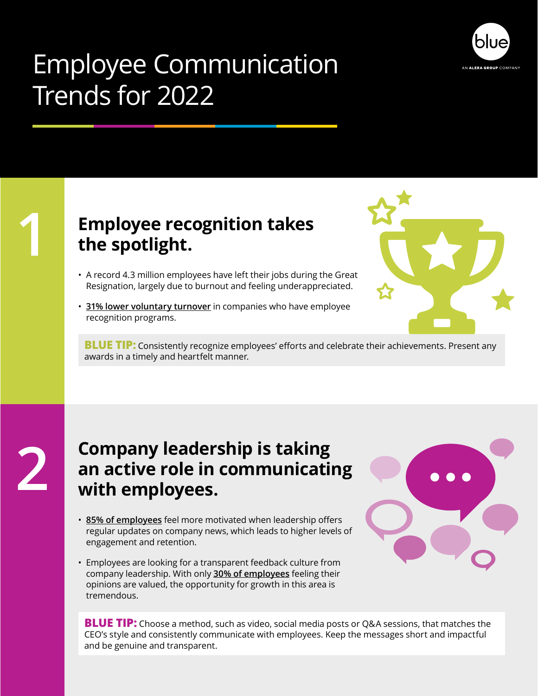

## Employee Communication Trends for 2022

**1**

### **Employee recognition takes the spotlight.**

- A record 4.3 million employees have left their jobs during the Great Resignation, largely due to burnout and feeling underappreciated.
- **[31% lower voluntary turnover](https://connecteam.com/internal-communication-trends/)** in companies who have employee recognition programs.



**BLUE TIP:** Consistently recognize employees' efforts and celebrate their achievements. Present any awards in a timely and heartfelt manner.

#### **Company leadership is taking an active role in communicating with employees.**

- **[85% of employees](https://www.tradepressservices.com/internal-communications/)** feel more motivated when leadership offers regular updates on company news, which leads to higher levels of engagement and retention.
- Employees are looking for a transparent feedback culture from company leadership. With only **[30% of employees](https://www.gallup.com/workplace/236198/create-culture-psychological-safety.aspx)** feeling their opinions are valued, the opportunity for growth in this area is tremendous.



**BLUE TIP:** Choose a method, such as video, social media posts or Q&A sessions, that matches the CEO's style and consistently communicate with employees. Keep the messages short and impactful and be genuine and transparent.